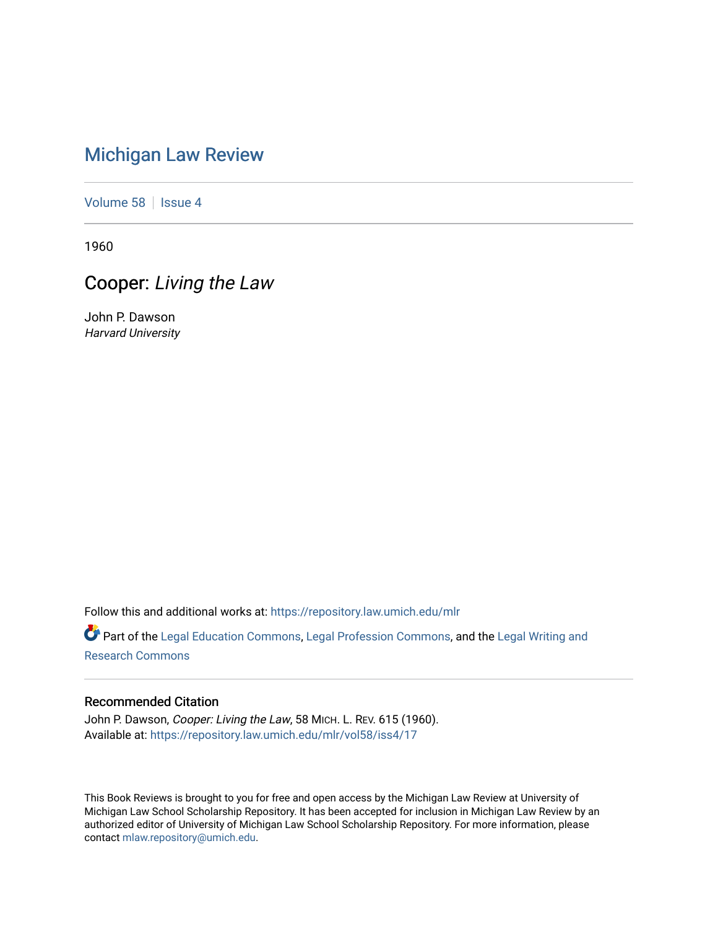# [Michigan Law Review](https://repository.law.umich.edu/mlr)

[Volume 58](https://repository.law.umich.edu/mlr/vol58) | [Issue 4](https://repository.law.umich.edu/mlr/vol58/iss4)

1960

## Cooper: Living the Law

John P. Dawson Harvard University

Follow this and additional works at: [https://repository.law.umich.edu/mlr](https://repository.law.umich.edu/mlr?utm_source=repository.law.umich.edu%2Fmlr%2Fvol58%2Fiss4%2F17&utm_medium=PDF&utm_campaign=PDFCoverPages) 

Part of the [Legal Education Commons,](http://network.bepress.com/hgg/discipline/857?utm_source=repository.law.umich.edu%2Fmlr%2Fvol58%2Fiss4%2F17&utm_medium=PDF&utm_campaign=PDFCoverPages) [Legal Profession Commons](http://network.bepress.com/hgg/discipline/1075?utm_source=repository.law.umich.edu%2Fmlr%2Fvol58%2Fiss4%2F17&utm_medium=PDF&utm_campaign=PDFCoverPages), and the [Legal Writing and](http://network.bepress.com/hgg/discipline/614?utm_source=repository.law.umich.edu%2Fmlr%2Fvol58%2Fiss4%2F17&utm_medium=PDF&utm_campaign=PDFCoverPages)  [Research Commons](http://network.bepress.com/hgg/discipline/614?utm_source=repository.law.umich.edu%2Fmlr%2Fvol58%2Fiss4%2F17&utm_medium=PDF&utm_campaign=PDFCoverPages) 

### Recommended Citation

John P. Dawson, Cooper: Living the Law, 58 MICH. L. REV. 615 (1960). Available at: [https://repository.law.umich.edu/mlr/vol58/iss4/17](https://repository.law.umich.edu/mlr/vol58/iss4/17?utm_source=repository.law.umich.edu%2Fmlr%2Fvol58%2Fiss4%2F17&utm_medium=PDF&utm_campaign=PDFCoverPages) 

This Book Reviews is brought to you for free and open access by the Michigan Law Review at University of Michigan Law School Scholarship Repository. It has been accepted for inclusion in Michigan Law Review by an authorized editor of University of Michigan Law School Scholarship Repository. For more information, please contact [mlaw.repository@umich.edu](mailto:mlaw.repository@umich.edu).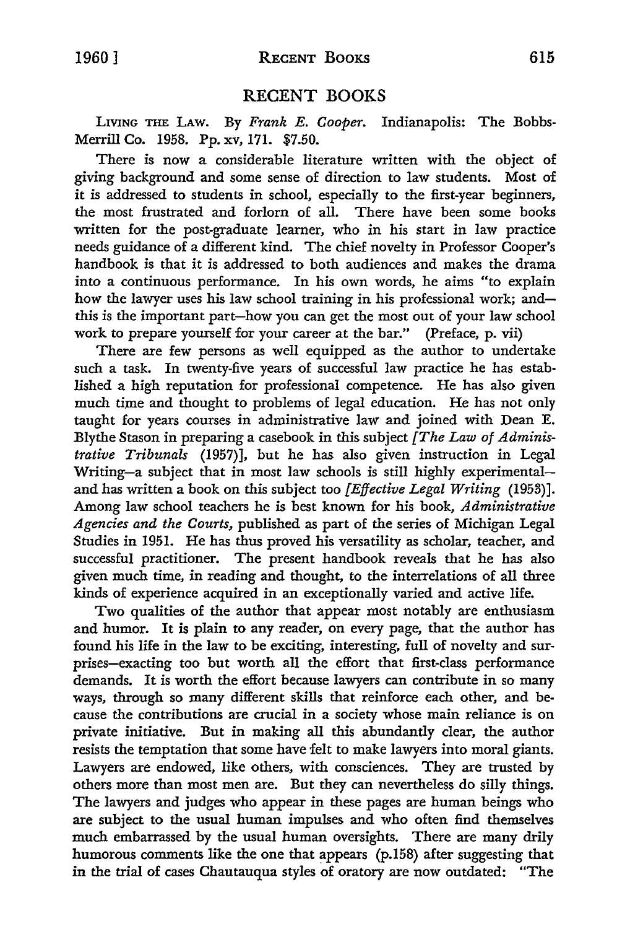#### RECENT BOOKS

LIVING THE LAW. By *Frank E. Cooper*. Indianapolis: The Bobbs-Merrill Co. 1958. Pp. xv, 171. \$7.50.

There is now a considerable literature written with the object of giving background and some sense of direction to law students. Most 0£ it is addressed to students in school, especially to the first-year beginners, the most frustrated and forlorn of all. There have been some books written for the post-graduate learner, who in his start in law practice needs guidance of a different kind. The chief novelty in Professor Cooper's handbook is that it is addressed to both audiences and makes the drama into a continuous performance. In his own words, he aims "to explain how the lawyer uses his law school training in his professional work; andthis is the important part-how you can get the most out of your law school work to prepare yourself for your career at the bar." (Preface, p. vii)

There are few persons as well equipped as the author to undertake such a task. In twenty-five years of successful law practice he has established a high reputation for professional competence. He has also given much time and thought to problems of legal education. He has not only taught for years courses in administrative law and joined with Dean E. Blythe Stason in preparing a casebook in this subject *[The Law of Administrative Tribunals* (1957)], but he has also given instruction in Legal Writing-a subject that in most law schools is still highly experimentaland has written a book on this subject too *[Effective Legal Writing* (1953)]. Among law school teachers he is best known for his book, *Administrative Agencies and the Courts,* published as part of the series of Michigan Legal Studies in 1951. He has thus proved his versatility as scholar, teacher, and successful practitioner. The present handbook reveals that he has also given much time, in reading and thought, to the interrelations of all three kinds of experience acquired in an exceptionally varied and active life.

Two qualities of the author that appear most notably are enthusiasm and humor. It is plain to any reader, on every page, that the author has found his life in the law to be exciting, interesting, full of novelty and surprises-exacting too but worth all the effort that first-class performance demands. It is worth the effort because lawyers can contribute in so many ways, through so many different skills that reinforce each other, and because the contributions are crucial in a society whose main reliance is on private initiative. But in making all this abundantly clear, the author resists the temptation that some have felt to make lawyers into moral giants. Lawyers are endowed, like others, with consciences. They are trusted by others more than most men are. But they can nevertheless do silly things. The lawyers and judges who appear in these pages are human beings who are subject to the usual human impulses and who often find themselves much embarrassed by the usual human oversights. There are many drily humorous comments like the one that appears (p.158) after suggesting that in the trial of cases Chautauqua styles of oratory are now outdated: "The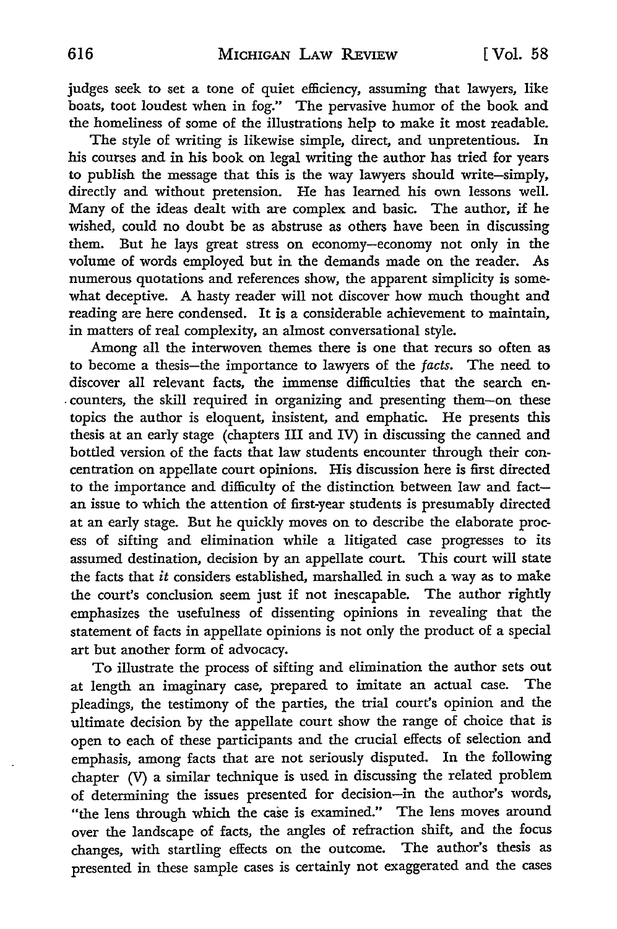judges seek to set a tone of quiet efficiency, assuming that lawyers, like boats, toot loudest when in fog." The pervasive humor of the book and the homeliness of some of the illustrations help to make it most readable.

The style of writing is likewise simple, direct, and unpretentious. In his courses and in his book on legal writing the author has tried for years to publish the message that this is the way lawyers should write-simply, directly and without pretension. He has learned his own lessons well. Many of the ideas dealt with are complex and basic. The author, if he wished, could no doubt be as abstruse as others have been in discussing them. But he lays great stress on economy-economy not only in the volume of words employed but in the demands made on the reader. As numerous quotations and references show, the apparent simplicity is somewhat deceptive. A hasty reader will not discover how much thought and reading are here condensed. It is a considerable achievement to maintain, in matters of real complexity, an almost conversational style.

Among all the interwoven themes there is one that recurs so often as to become a thesis-the importance to lawyers of the *facts.* The need to discover all relevant facts, the immense difficulties that the search en- , counters, the skill required in organizing and presenting them-on these topics the author is eloquent, insistent, and emphatic. He presents this thesis at an early stage ( chapters III and IV) in discussing the canned and bottled version of the facts that law students encounter through their concentration on appellate court opinions. His discussion here is first directed to the importance and difficulty of the distinction between law and factan issue to which the attention of first-year students is presumably directed at an early stage. But he quickly moves on to describe the elaborate process of sifting and elimination while a litigated case progresses to its assumed destination, decision by an appellate court. This court will state the facts that *it* considers established, marshalled in such a way as to make the court's conclusion seem just if not inescapable. The author rightly emphasizes the usefulness of dissenting opinions in revealing that the statement of facts in appellate opinions is not only the product of a special art but another form of advocacy.

To illustrate the process of sifting and elimination the author sets out at length an imaginary case, prepared to imitate an actual case. The pleadings, the testimony of the parties, the trial court's opinion and the ultimate decision by the appellate court show the range of choice that is open to each of these participants and the crucial effects of selection and emphasis, among facts that are not seriously disputed. In the following chapter (V) a similar technique is used in discussing the related problem of determining the issues presented for decision-in the author's words, "the lens through which the case is examined." The lens moves around over the landscape of facts, the angles of refraction shift, and the focus changes, with startling effects on the outcome. The author's thesis as presented in these sample cases is certainly not exaggerated and the cases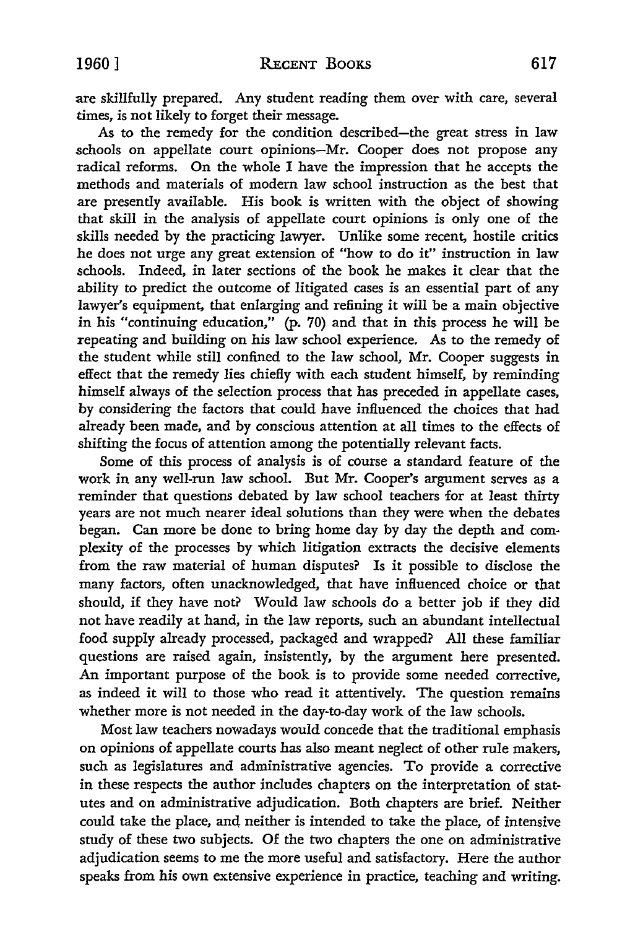are skillfully prepared. Any student reading them over with care, several times, is not likely to forget their message.

As to the remedy for the condition described-the great stress in law schools on appellate court opinions-Mr. Cooper does not propose any radical reforms. On the whole I have the impression that he accepts the methods and materials of modem law school instruction as the best that are presently available. His book is written with the object of showing that skill in the analysis of appellate court opinions is only one of the skills needed by the practicing lawyer. Unlike some recent, hostile critics he does not urge any great extension of "how to do it" instruction in law schools. Indeed, in later sections of the book he makes it clear that the ability to predict the outcome of litigated cases is an essential part of any lawyer's equipment, that enlarging and refining it will be a main objective in his "continuing education," (p. 70) and that in this process he will be repeating and building on his law school experience. As to the remedy of the student while still confined to the law school, Mr. Cooper suggests in effect that the remedy lies chiefly with each student himself, by reminding himself always of the selection process that has preceded in appellate cases, by considering the factors that could have influenced the choices that had already been made, and by conscious attention at all times to the effects of shifting the focus of attention among the potentially relevant facts.

Some of this process of analysis is of course a standard feature of the work in any well-run law school. But Mr. Cooper's argument serves as a reminder that questions debated by law school teachers for at least thirty years are not much nearer ideal solutions than they were when the debates began. Can more be done to bring home day by day the depth and complexity of the processes by which litigation extracts the decisive elements from the raw material of human disputes? Is it possible to disclose the many factors, often unacknowledged, that have influenced choice or that should, if they have not? Would law schools do a better job if they did not have readily at hand, in the law reports, such an abundant intellectual food supply already processed, packaged and wrapped? All these familiar questions are raised again, insistently, by the argument here presented. An important purpose of the book is to provide some needed corrective, as indeed it will to those who read it attentively. The question remains whether more is not needed in the day-to-day work of the law schools.

Most law teachers nowadays would concede that the traditional emphasis on opinions of appellate courts has also meant neglect of other rule makers, such as legislatures and administrative agencies. To provide a corrective in these respects the author includes chapters on the interpretation of statutes and on administrative adjudication. Both chapters are brief. Neither could take the place, and, neither is intended to take the place, of intensive study of these two subjects. Of the two chapters the one on administrative adjudication seems to me the more useful and satisfactory. Here the author speaks from his own extensive experience in practice, teaching and writing.